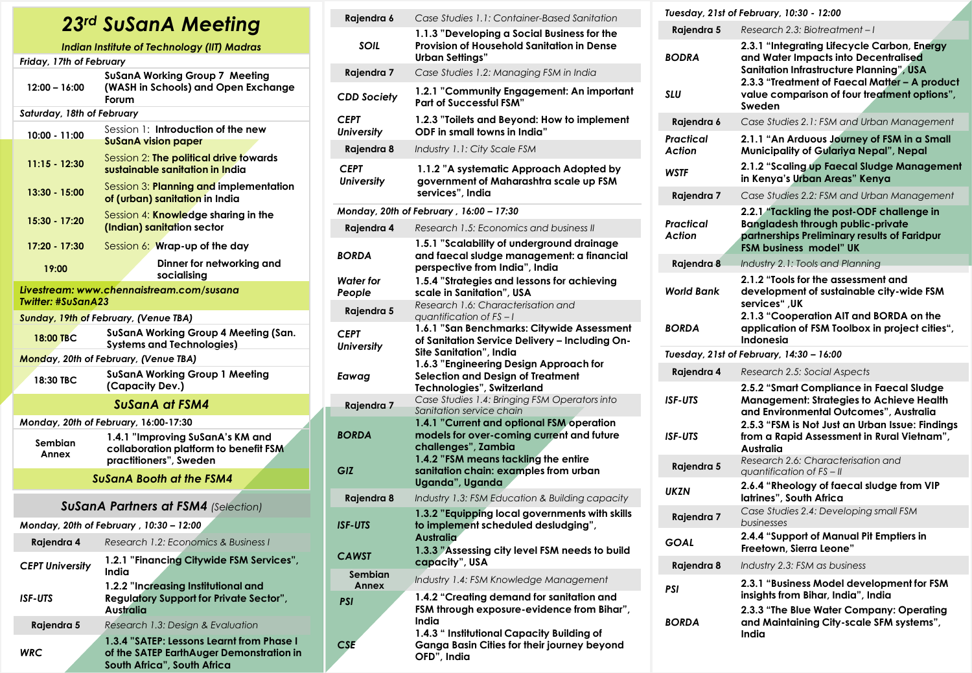## *23rd SuSanA Meeting*

| Indian Institute of Technology (IIT) Madras |                                                                                                                      |  |
|---------------------------------------------|----------------------------------------------------------------------------------------------------------------------|--|
| Friday, 17th of February                    |                                                                                                                      |  |
| $12:00 - 16:00$                             | SuSanA Working Group 7 Meeting<br>(WASH in Schools) and Open Exchange<br>Forum                                       |  |
| Saturday, 18th of February                  |                                                                                                                      |  |
| 10:00 - 11:00                               | Session 1: Introduction of the new<br><b>SuSanA vision paper</b>                                                     |  |
| $11:15 - 12:30$                             | Session 2: The political drive towards<br>sustainable sanitation in India                                            |  |
| 13:30 - 15:00                               | Session 3: Planning and implementation<br>of (urban) sanitation in India                                             |  |
| 15:30 - 17:20                               | Session 4: Knowledge sharing in the<br>(Indian) sanitation sector                                                    |  |
| 17:20 - 17:30                               | Session $6$ : Wrap-up of the day                                                                                     |  |
| 19:00                                       | Dinner for networking and<br>socialising                                                                             |  |
|                                             | Livestream: www.chennaistream.com/susana                                                                             |  |
| Twitter: #SuSanA23                          |                                                                                                                      |  |
|                                             | <b>Sunday, 19th of February, (Venue TBA)</b>                                                                         |  |
| 18:00 TBC                                   | SuSanA Working Group 4 Meeting (San.<br><b>Systems and Technologies)</b>                                             |  |
|                                             | Monday, 20th of February, (Venue TBA)                                                                                |  |
| 18:30 TBC                                   | <b>SuSanA Working Group 1 Meeting</b><br>(Capacity Dev.)                                                             |  |
|                                             | SuSanA at FSM4                                                                                                       |  |
|                                             | Monday, 20th of February, 16:00-17:30                                                                                |  |
| Sembian<br>Annex                            | 1.4.1 "Improving SuSanA's KM and<br>collaboration platform to benefit FSM<br>practitioners", Sweden                  |  |
| <b>SuSanA Booth at the FSM4</b>             |                                                                                                                      |  |
| <b>SuSanA Partners at FSM4 (Selection)</b>  |                                                                                                                      |  |
|                                             | Monday, 20th of February, 10:30 - 12:00                                                                              |  |
| Rajendra 4                                  | Research 1.2: Economics & Business I                                                                                 |  |
| <b>CEPT University</b>                      | 1.2.1 "Financing Citywide FSM Services",<br>India                                                                    |  |
| <b>ISF-UTS</b>                              | 1.2.2 "Increasing Institutional and<br><b>Regulatory Support for Private Sector",</b><br>Australia                   |  |
| Rajendra 5                                  | Research 1.3: Design & Evaluation                                                                                    |  |
| <b>WRC</b>                                  | 1.3.4 "SATEP: Lessons Learnt from Phase I<br>of the SATEP EarthAuger Demonstration in<br>South Africa", South Africa |  |

| Rajendra 6                       | Case Studies 1.1: Container-Based Sanitation                                                                              |
|----------------------------------|---------------------------------------------------------------------------------------------------------------------------|
| SOIL                             | 1.1.3 "Developing a Social Business for the<br>Provision of Household Sanitation in Dense<br>Urban Settings"              |
| Rajendra 7                       | Case Studies 1.2: Managing FSM in India                                                                                   |
| CDD Society                      | 1.2.1 "Community Engagement: An important<br><b>Part of Successful FSM"</b>                                               |
| CEPT<br>University               | 1.2.3 "Toilets and Beyond: How to implement<br>ODF in small towns in India"                                               |
| Rajendra 8                       | Industry 1.1: City Scale FSM                                                                                              |
| <b>CEPT</b><br><b>University</b> | 1.1.2 "A systematic Approach Adopted by<br>government of Maharashtra scale up FSM<br>services", India                     |
|                                  | Monday, 20th of February , 16:00 – 17:30                                                                                  |
| Rajendra 4                       | Research 1.5: Economics and business II                                                                                   |
| BORDA                            | 1.5.1 "Scalability of underground drainage<br>and faecal sludge management: a financial<br>perspective from India", India |
| Water for<br>People              | 1.5.4 "Strategies and lessons for achieving<br>scale in Sanitation", USA                                                  |
| Rajendra 5                       | Research 1.6: Characterisation and<br>quantification of $FS-I$                                                            |
| CEPT<br>University               | 1.6.1 "San Benchmarks: Citywide Assessment<br>of Sanitation Service Delivery - Including On-<br>Site Sanitation", India   |
| Eawag                            | 1.6.3 "Engineering Design Approach for<br>Selection and Design of Treatment<br>Technologies", Switzerland                 |
| Rajendra 7                       | Case Studies 1.4: Bringing FSM Operators into<br>Sanitation service chain                                                 |
| BORDA                            | 1.4.1 "Current and optional FSM operation<br>models for over-coming current and future<br>challenges", Zambia             |
| GIZ                              | 1.4.2 "FSM means tackling the entire<br>sanitation chain: examples from urban<br>Uganda", Uganda                          |
| Rajendra 8                       | Industry 1.3: FSM Education & Building capacity                                                                           |
| ISF-UTS                          | 1.3.2 "Equipping local governments with skills<br>to implement scheduled desludging",<br>Australia                        |
| <b>CAWST</b>                     | 1.3.3 "Assessing city level FSM needs to build<br>capacity", USA                                                          |
| Sembian<br>Annex                 | Industry 1.4: FSM Knowledge Management                                                                                    |
| PSI                              | 1.4.2 "Creating demand for sanitation and<br>FSM through exposure-evidence from Bihar",<br>India                          |
| CSE                              | 1.4.3 " Institutional Capacity Building of<br>Ganga Basin Cities for their journey beyond<br>OFD", India                  |

|                                    | Tuesday, 21st of February, 10:30 - 12:00                                                                                                                                                                                                   |
|------------------------------------|--------------------------------------------------------------------------------------------------------------------------------------------------------------------------------------------------------------------------------------------|
| Rajendra 5                         | Research 2.3: Biotreatment-I                                                                                                                                                                                                               |
| <b>BODRA</b><br><b>SLU</b>         | 2.3.1 "Integrating Lifecycle Carbon, Energy<br>and Water Impacts into Decentralised<br>Sanitation Infrastructure Planning", USA<br>2.3.3 "Treatment of Faecal Matter - A product<br>value comparison of four treatment options",<br>Sweden |
| Rajendra 6                         | Case Studies 2.1: FSM and Urban Management                                                                                                                                                                                                 |
| Practical<br>Action<br><b>WSTF</b> | 2.1.1 "An Arduous Journey of FSM in a Small<br>Municipality of Gulariya Nepal", Nepal<br>2.1.2 "Scaling up Faecal Sludge Management                                                                                                        |
|                                    | in Kenya's Urban Areas" Kenya                                                                                                                                                                                                              |
| Rajendra 7                         | Case Studies 2.2: FSM and Urban Management                                                                                                                                                                                                 |
| Practical<br>Action                | 2.2.1 "Tackling the post-ODF challenge in<br><b>Bangladesh through public-private</b><br>partnerships Preliminary results of Faridpur<br>FSM business model" UK                                                                            |
| Rajendra 8                         | Industry 2.1: Tools and Planning                                                                                                                                                                                                           |
| <b>World Bank</b><br><b>BORDA</b>  | 2.1.2 "Tools for the assessment and<br>development of sustainable city-wide FSM<br>services", UK<br>2.1.3 "Cooperation AIT and BORDA on the<br>application of FSM Toolbox in project cities",                                              |
|                                    | <b>Indonesia</b><br>Tuesday, 21st of February, 14:30 - 16:00                                                                                                                                                                               |
| Rajendra 4                         | Research 2.5: Social Aspects                                                                                                                                                                                                               |
| <b>ISF-UTS</b><br><b>ISF-UTS</b>   | 2.5.2 "Smart Compliance in Faecal Sludge<br>Management: Strategies to Achieve Health<br>and Environmental Outcomes", Australia<br>2.5.3 "FSM is Not Just an Urban Issue: Findings<br>from a Rapid Assessment in Rural Vietnam",            |
|                                    | Australia                                                                                                                                                                                                                                  |
| Rajendra 5                         | Research 2.6: Characterisation and<br>quantification of $FS - II$                                                                                                                                                                          |
| <b>UKZN</b>                        | 2.6.4 "Rheology of faecal sludge from VIP<br>latrines", South Africa                                                                                                                                                                       |
| Rajendra 7                         | Case Studies 2.4: Developing small FSM<br>businesses                                                                                                                                                                                       |
| GOAL                               | 2.4.4 "Support of Manual Pit Emptiers in<br>Freetown, Sierra Leone"                                                                                                                                                                        |
| Rajendra 8                         | Industry 2.3: FSM as business                                                                                                                                                                                                              |
| PSI<br><b>BORDA</b>                | 2.3.1 "Business Model development for FSM<br>insights from Bihar, India", India<br>2.3.3 "The Blue Water Company: Operating<br>and Maintaining City-scale SFM systems",                                                                    |
|                                    | India                                                                                                                                                                                                                                      |